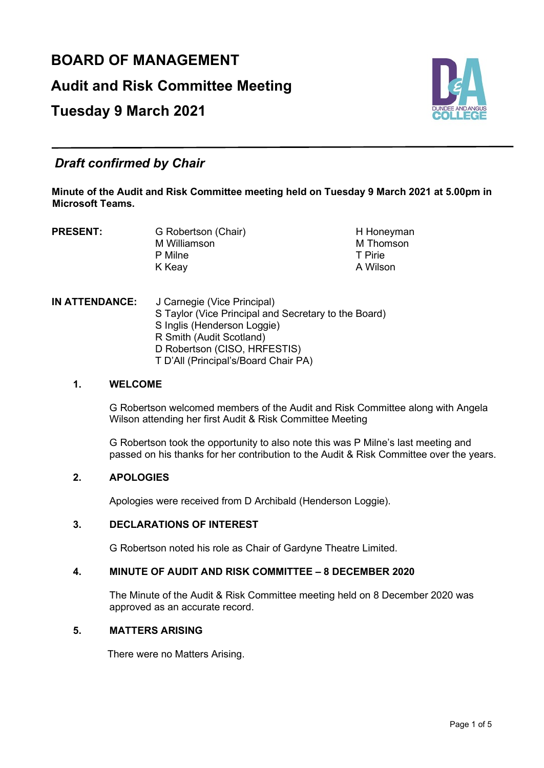# **BOARD OF MANAGEMENT Audit and Risk Committee Meeting Tuesday 9 March 2021**



# *Draft confirmed by Chair*

**Minute of the Audit and Risk Committee meeting held on Tuesday 9 March 2021 at 5.00pm in Microsoft Teams.** 

**PRESENT:** G Robertson (Chair) **H** Honeyman<br>M Williamson M Homson M Williamson M Thomson M Thomson M Thomson M Thomson M Thomson M Thomson M Thomson M Thomson M Thomson M Thomson M Thomson M Thomson M Thomson M Thomson M Thomson M Thomson M Thomson M Thomson M Thomson M Thomson M Thomson P Milne T Pirie K Keay

**IN ATTENDANCE:** J Carnegie (Vice Principal) S Taylor (Vice Principal and Secretary to the Board) S Inglis (Henderson Loggie) R Smith (Audit Scotland) D Robertson (CISO, HRFESTIS) T D'All (Principal's/Board Chair PA)

#### **1. WELCOME**

G Robertson welcomed members of the Audit and Risk Committee along with Angela Wilson attending her first Audit & Risk Committee Meeting

G Robertson took the opportunity to also note this was P Milne's last meeting and passed on his thanks for her contribution to the Audit & Risk Committee over the years.

## **2. APOLOGIES**

Apologies were received from D Archibald (Henderson Loggie).

#### **3. DECLARATIONS OF INTEREST**

G Robertson noted his role as Chair of Gardyne Theatre Limited.

# **4. MINUTE OF AUDIT AND RISK COMMITTEE – 8 DECEMBER 2020**

The Minute of the Audit & Risk Committee meeting held on 8 December 2020 was approved as an accurate record.

# **5. MATTERS ARISING**

There were no Matters Arising.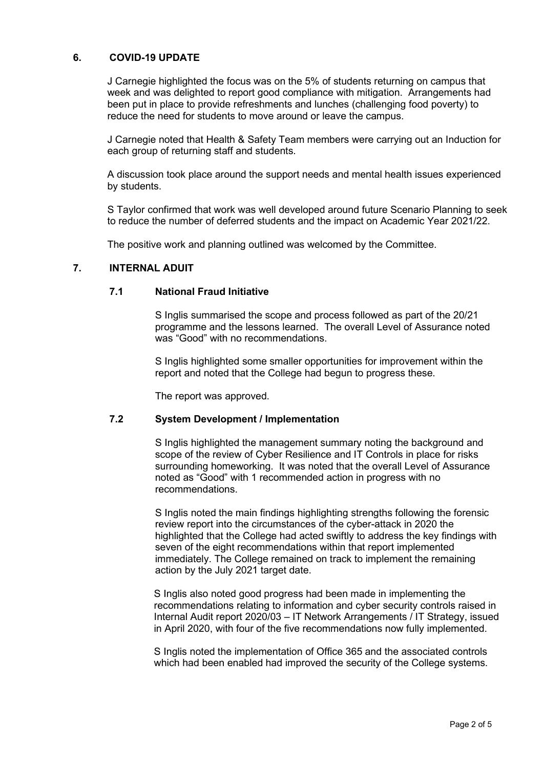#### **6. COVID-19 UPDATE**

J Carnegie highlighted the focus was on the 5% of students returning on campus that week and was delighted to report good compliance with mitigation. Arrangements had been put in place to provide refreshments and lunches (challenging food poverty) to reduce the need for students to move around or leave the campus.

J Carnegie noted that Health & Safety Team members were carrying out an Induction for each group of returning staff and students.

A discussion took place around the support needs and mental health issues experienced by students.

S Taylor confirmed that work was well developed around future Scenario Planning to seek to reduce the number of deferred students and the impact on Academic Year 2021/22.

The positive work and planning outlined was welcomed by the Committee.

#### **7. INTERNAL ADUIT**

#### **7.1 National Fraud Initiative**

S Inglis summarised the scope and process followed as part of the 20/21 programme and the lessons learned. The overall Level of Assurance noted was "Good" with no recommendations.

S Inglis highlighted some smaller opportunities for improvement within the report and noted that the College had begun to progress these.

The report was approved.

#### **7.2 System Development / Implementation**

S Inglis highlighted the management summary noting the background and scope of the review of Cyber Resilience and IT Controls in place for risks surrounding homeworking. It was noted that the overall Level of Assurance noted as "Good" with 1 recommended action in progress with no recommendations.

S Inglis noted the main findings highlighting strengths following the forensic review report into the circumstances of the cyber-attack in 2020 the highlighted that the College had acted swiftly to address the key findings with seven of the eight recommendations within that report implemented immediately. The College remained on track to implement the remaining action by the July 2021 target date.

S Inglis also noted good progress had been made in implementing the recommendations relating to information and cyber security controls raised in Internal Audit report 2020/03 – IT Network Arrangements / IT Strategy, issued in April 2020, with four of the five recommendations now fully implemented.

S Inglis noted the implementation of Office 365 and the associated controls which had been enabled had improved the security of the College systems.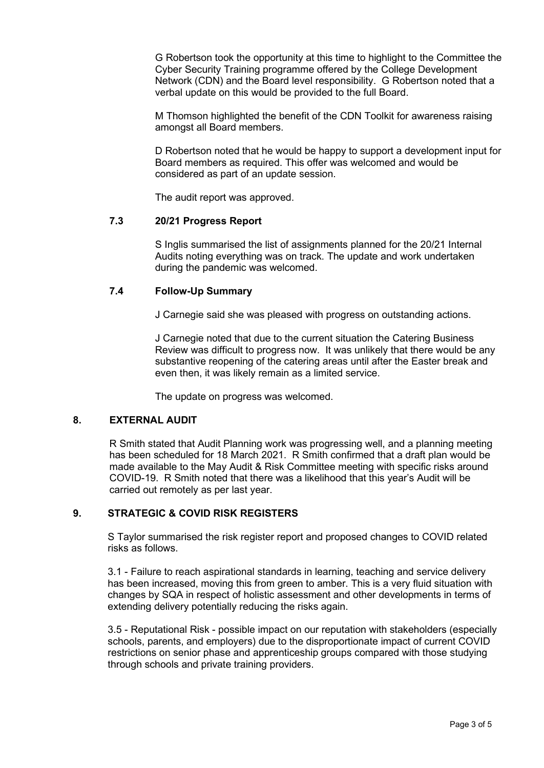G Robertson took the opportunity at this time to highlight to the Committee the Cyber Security Training programme offered by the College Development Network (CDN) and the Board level responsibility. G Robertson noted that a verbal update on this would be provided to the full Board.

M Thomson highlighted the benefit of the CDN Toolkit for awareness raising amongst all Board members.

D Robertson noted that he would be happy to support a development input for Board members as required. This offer was welcomed and would be considered as part of an update session.

The audit report was approved.

#### **7.3 20/21 Progress Report**

S Inglis summarised the list of assignments planned for the 20/21 Internal Audits noting everything was on track. The update and work undertaken during the pandemic was welcomed.

#### **7.4 Follow-Up Summary**

J Carnegie said she was pleased with progress on outstanding actions.

J Carnegie noted that due to the current situation the Catering Business Review was difficult to progress now. It was unlikely that there would be any substantive reopening of the catering areas until after the Easter break and even then, it was likely remain as a limited service.

The update on progress was welcomed.

#### **8. EXTERNAL AUDIT**

R Smith stated that Audit Planning work was progressing well, and a planning meeting has been scheduled for 18 March 2021. R Smith confirmed that a draft plan would be made available to the May Audit & Risk Committee meeting with specific risks around COVID-19. R Smith noted that there was a likelihood that this year's Audit will be carried out remotely as per last year.

#### **9. STRATEGIC & COVID RISK REGISTERS**

S Taylor summarised the risk register report and proposed changes to COVID related risks as follows.

3.1 - Failure to reach aspirational standards in learning, teaching and service delivery has been increased, moving this from green to amber. This is a very fluid situation with changes by SQA in respect of holistic assessment and other developments in terms of extending delivery potentially reducing the risks again.

3.5 - Reputational Risk - possible impact on our reputation with stakeholders (especially schools, parents, and employers) due to the disproportionate impact of current COVID restrictions on senior phase and apprenticeship groups compared with those studying through schools and private training providers.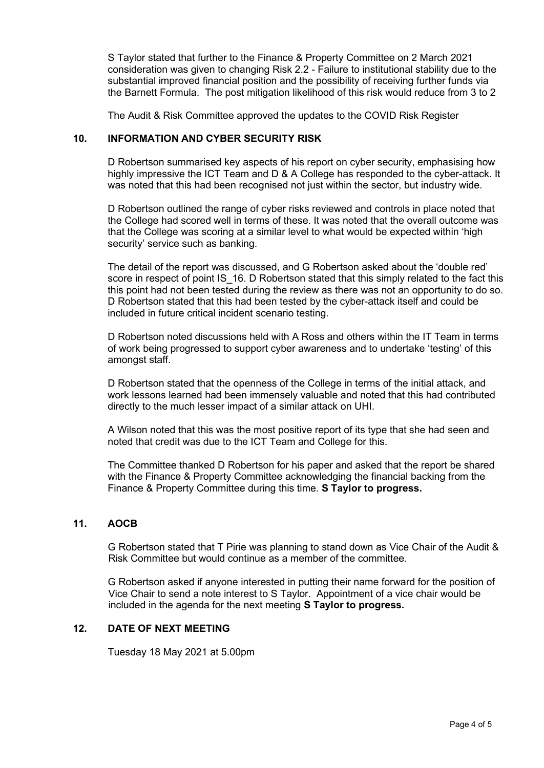S Taylor stated that further to the Finance & Property Committee on 2 March 2021 consideration was given to changing Risk 2.2 - Failure to institutional stability due to the substantial improved financial position and the possibility of receiving further funds via the Barnett Formula. The post mitigation likelihood of this risk would reduce from 3 to 2

The Audit & Risk Committee approved the updates to the COVID Risk Register

#### **10. INFORMATION AND CYBER SECURITY RISK**

D Robertson summarised key aspects of his report on cyber security, emphasising how highly impressive the ICT Team and D & A College has responded to the cyber-attack. It was noted that this had been recognised not just within the sector, but industry wide.

D Robertson outlined the range of cyber risks reviewed and controls in place noted that the College had scored well in terms of these. It was noted that the overall outcome was that the College was scoring at a similar level to what would be expected within 'high security' service such as banking.

The detail of the report was discussed, and G Robertson asked about the 'double red' score in respect of point IS 16. D Robertson stated that this simply related to the fact this this point had not been tested during the review as there was not an opportunity to do so. D Robertson stated that this had been tested by the cyber-attack itself and could be included in future critical incident scenario testing.

D Robertson noted discussions held with A Ross and others within the IT Team in terms of work being progressed to support cyber awareness and to undertake 'testing' of this amongst staff.

D Robertson stated that the openness of the College in terms of the initial attack, and work lessons learned had been immensely valuable and noted that this had contributed directly to the much lesser impact of a similar attack on UHI.

A Wilson noted that this was the most positive report of its type that she had seen and noted that credit was due to the ICT Team and College for this.

The Committee thanked D Robertson for his paper and asked that the report be shared with the Finance & Property Committee acknowledging the financial backing from the Finance & Property Committee during this time. **S Taylor to progress.**

#### **11. AOCB**

G Robertson stated that T Pirie was planning to stand down as Vice Chair of the Audit & Risk Committee but would continue as a member of the committee.

G Robertson asked if anyone interested in putting their name forward for the position of Vice Chair to send a note interest to S Taylor. Appointment of a vice chair would be included in the agenda for the next meeting **S Taylor to progress.**

### **12. DATE OF NEXT MEETING**

Tuesday 18 May 2021 at 5.00pm